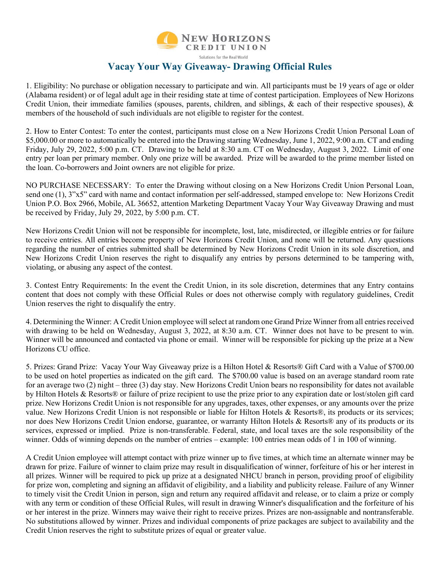

Solutions for the Real World

## **Vacay Your Way Giveaway- Drawing Official Rules**

1. Eligibility: No purchase or obligation necessary to participate and win. All participants must be 19 years of age or older (Alabama resident) or of legal adult age in their residing state at time of contest participation. Employees of New Horizons Credit Union, their immediate families (spouses, parents, children, and siblings, & each of their respective spouses), & members of the household of such individuals are not eligible to register for the contest.

2. How to Enter Contest: To enter the contest, participants must close on a New Horizons Credit Union Personal Loan of \$5,000.00 or more to automatically be entered into the Drawing starting Wednesday, June 1, 2022, 9:00 a.m. CT and ending Friday, July 29, 2022, 5:00 p.m. CT. Drawing to be held at 8:30 a.m. CT on Wednesday, August 3, 2022. Limit of one entry per loan per primary member. Only one prize will be awarded. Prize will be awarded to the prime member listed on the loan. Co-borrowers and Joint owners are not eligible for prize.

NO PURCHASE NECESSARY: To enter the Drawing without closing on a New Horizons Credit Union Personal Loan, send one (1), 3"x5" card with name and contact information per self-addressed, stamped envelope to: New Horizons Credit Union P.O. Box 2966, Mobile, AL 36652, attention Marketing Department Vacay Your Way Giveaway Drawing and must be received by Friday, July 29, 2022, by 5:00 p.m. CT.

New Horizons Credit Union will not be responsible for incomplete, lost, late, misdirected, or illegible entries or for failure to receive entries. All entries become property of New Horizons Credit Union, and none will be returned. Any questions regarding the number of entries submitted shall be determined by New Horizons Credit Union in its sole discretion, and New Horizons Credit Union reserves the right to disqualify any entries by persons determined to be tampering with, violating, or abusing any aspect of the contest.

3. Contest Entry Requirements: In the event the Credit Union, in its sole discretion, determines that any Entry contains content that does not comply with these Official Rules or does not otherwise comply with regulatory guidelines, Credit Union reserves the right to disqualify the entry.

4. Determining the Winner: A Credit Union employee will select at random one Grand Prize Winner from all entries received with drawing to be held on Wednesday, August 3, 2022, at 8:30 a.m. CT. Winner does not have to be present to win. Winner will be announced and contacted via phone or email. Winner will be responsible for picking up the prize at a New Horizons CU office.

5. Prizes: Grand Prize: Vacay Your Way Giveaway prize is a Hilton Hotel & Resorts® Gift Card with a Value of \$700.00 to be used on hotel properties as indicated on the gift card. The \$700.00 value is based on an average standard room rate for an average two (2) night – three (3) day stay. New Horizons Credit Union bears no responsibility for dates not available by Hilton Hotels & Resorts® or failure of prize recipient to use the prize prior to any expiration date or lost/stolen gift card prize. New Horizons Credit Union is not responsible for any upgrades, taxes, other expenses, or any amounts over the prize value. New Horizons Credit Union is not responsible or liable for Hilton Hotels & Resorts®, its products or its services; nor does New Horizons Credit Union endorse, guarantee, or warranty Hilton Hotels & Resorts® any of its products or its services, expressed or implied. Prize is non-transferable. Federal, state, and local taxes are the sole responsibility of the winner. Odds of winning depends on the number of entries – example: 100 entries mean odds of 1 in 100 of winning.

A Credit Union employee will attempt contact with prize winner up to five times, at which time an alternate winner may be drawn for prize. Failure of winner to claim prize may result in disqualification of winner, forfeiture of his or her interest in all prizes. Winner will be required to pick up prize at a designated NHCU branch in person, providing proof of eligibility for prize won, completing and signing an affidavit of eligibility, and a liability and publicity release. Failure of any Winner to timely visit the Credit Union in person, sign and return any required affidavit and release, or to claim a prize or comply with any term or condition of these Official Rules, will result in drawing Winner's disqualification and the forfeiture of his or her interest in the prize. Winners may waive their right to receive prizes. Prizes are non-assignable and nontransferable. No substitutions allowed by winner. Prizes and individual components of prize packages are subject to availability and the Credit Union reserves the right to substitute prizes of equal or greater value.